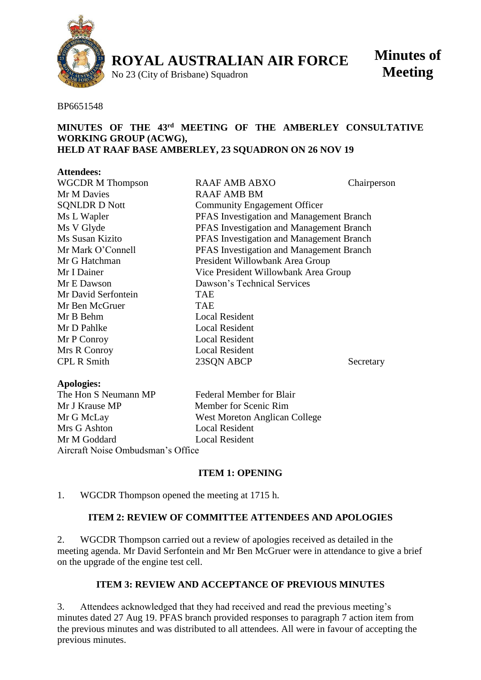

**ROYAL AUSTRALIAN AIR FORCE**

No 23 (City of Brisbane) Squadron

**Minutes of Meeting**

#### BP6651548

### **MINUTES OF THE 43 rd MEETING OF THE AMBERLEY CONSULTATIVE WORKING GROUP (ACWG), HELD AT RAAF BASE AMBERLEY, 23 SQUADRON ON 26 NOV 19**

### **Attendees:**

| <b>WGCDR M Thompson</b> | <b>RAAF AMB ABXO</b>                     | Chairperson |
|-------------------------|------------------------------------------|-------------|
| Mr M Davies             | <b>RAAF AMB BM</b>                       |             |
| <b>SQNLDR D Nott</b>    | <b>Community Engagement Officer</b>      |             |
| Ms L Wapler             | PFAS Investigation and Management Branch |             |
| Ms V Glyde              | PFAS Investigation and Management Branch |             |
| Ms Susan Kizito         | PFAS Investigation and Management Branch |             |
| Mr Mark O'Connell       | PFAS Investigation and Management Branch |             |
| Mr G Hatchman           | President Willowbank Area Group          |             |
| Mr I Dainer             | Vice President Willowbank Area Group     |             |
| Mr E Dawson             | Dawson's Technical Services              |             |
| Mr David Serfontein     | <b>TAE</b>                               |             |
| Mr Ben McGruer          | <b>TAE</b>                               |             |
| Mr B Behm               | <b>Local Resident</b>                    |             |
| Mr D Pahlke             | <b>Local Resident</b>                    |             |
| Mr P Conroy             | <b>Local Resident</b>                    |             |
| Mrs R Conroy            | <b>Local Resident</b>                    |             |
| <b>CPL R Smith</b>      | 23SON ABCP                               | Secretary   |
|                         |                                          |             |

#### **Apologies:**

The Hon S Neumann MP Federal Member for Blair Mr J Krause MP Member for Scenic Rim Mr G McLay West Moreton Anglican College Mrs G Ashton Local Resident Mr M Goddard Local Resident Aircraft Noise Ombudsman's Office

# **ITEM 1: OPENING**

### 1. WGCDR Thompson opened the meeting at 1715 h.

## **ITEM 2: REVIEW OF COMMITTEE ATTENDEES AND APOLOGIES**

2. WGCDR Thompson carried out a review of apologies received as detailed in the meeting agenda. Mr David Serfontein and Mr Ben McGruer were in attendance to give a brief on the upgrade of the engine test cell.

### **ITEM 3: REVIEW AND ACCEPTANCE OF PREVIOUS MINUTES**

3. Attendees acknowledged that they had received and read the previous meeting's minutes dated 27 Aug 19. PFAS branch provided responses to paragraph 7 action item from the previous minutes and was distributed to all attendees. All were in favour of accepting the previous minutes.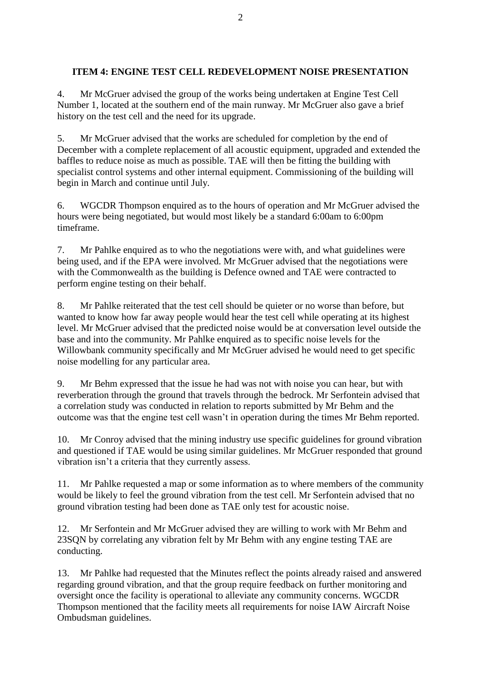# **ITEM 4: ENGINE TEST CELL REDEVELOPMENT NOISE PRESENTATION**

4. Mr McGruer advised the group of the works being undertaken at Engine Test Cell Number 1, located at the southern end of the main runway. Mr McGruer also gave a brief history on the test cell and the need for its upgrade.

5. Mr McGruer advised that the works are scheduled for completion by the end of December with a complete replacement of all acoustic equipment, upgraded and extended the baffles to reduce noise as much as possible. TAE will then be fitting the building with specialist control systems and other internal equipment. Commissioning of the building will begin in March and continue until July.

6. WGCDR Thompson enquired as to the hours of operation and Mr McGruer advised the hours were being negotiated, but would most likely be a standard 6:00am to 6:00pm timeframe.

7. Mr Pahlke enquired as to who the negotiations were with, and what guidelines were being used, and if the EPA were involved. Mr McGruer advised that the negotiations were with the Commonwealth as the building is Defence owned and TAE were contracted to perform engine testing on their behalf.

8. Mr Pahlke reiterated that the test cell should be quieter or no worse than before, but wanted to know how far away people would hear the test cell while operating at its highest level. Mr McGruer advised that the predicted noise would be at conversation level outside the base and into the community. Mr Pahlke enquired as to specific noise levels for the Willowbank community specifically and Mr McGruer advised he would need to get specific noise modelling for any particular area.

9. Mr Behm expressed that the issue he had was not with noise you can hear, but with reverberation through the ground that travels through the bedrock. Mr Serfontein advised that a correlation study was conducted in relation to reports submitted by Mr Behm and the outcome was that the engine test cell wasn't in operation during the times Mr Behm reported.

10. Mr Conroy advised that the mining industry use specific guidelines for ground vibration and questioned if TAE would be using similar guidelines. Mr McGruer responded that ground vibration isn't a criteria that they currently assess.

11. Mr Pahlke requested a map or some information as to where members of the community would be likely to feel the ground vibration from the test cell. Mr Serfontein advised that no ground vibration testing had been done as TAE only test for acoustic noise.

12. Mr Serfontein and Mr McGruer advised they are willing to work with Mr Behm and 23SQN by correlating any vibration felt by Mr Behm with any engine testing TAE are conducting.

13. Mr Pahlke had requested that the Minutes reflect the points already raised and answered regarding ground vibration, and that the group require feedback on further monitoring and oversight once the facility is operational to alleviate any community concerns. WGCDR Thompson mentioned that the facility meets all requirements for noise IAW Aircraft Noise Ombudsman guidelines.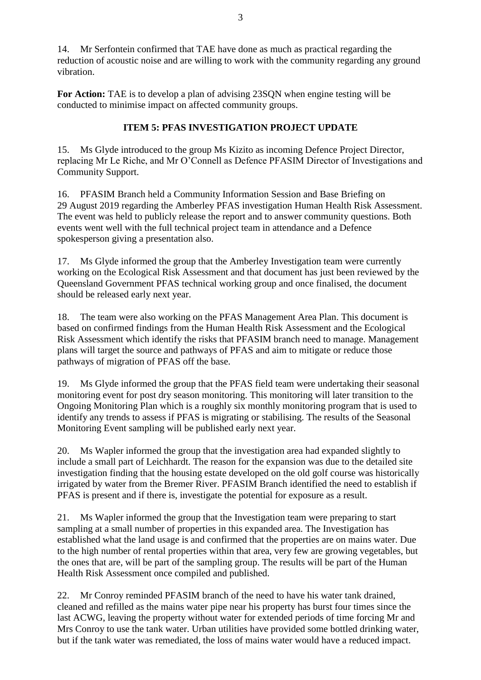14. Mr Serfontein confirmed that TAE have done as much as practical regarding the reduction of acoustic noise and are willing to work with the community regarding any ground vibration.

**For Action:** TAE is to develop a plan of advising 23SON when engine testing will be conducted to minimise impact on affected community groups.

# **ITEM 5: PFAS INVESTIGATION PROJECT UPDATE**

15. Ms Glyde introduced to the group Ms Kizito as incoming Defence Project Director, replacing Mr Le Riche, and Mr O'Connell as Defence PFASIM Director of Investigations and Community Support.

16. PFASIM Branch held a Community Information Session and Base Briefing on 29 August 2019 regarding the Amberley PFAS investigation Human Health Risk Assessment. The event was held to publicly release the report and to answer community questions. Both events went well with the full technical project team in attendance and a Defence spokesperson giving a presentation also.

17. Ms Glyde informed the group that the Amberley Investigation team were currently working on the Ecological Risk Assessment and that document has just been reviewed by the Queensland Government PFAS technical working group and once finalised, the document should be released early next year.

18. The team were also working on the PFAS Management Area Plan. This document is based on confirmed findings from the Human Health Risk Assessment and the Ecological Risk Assessment which identify the risks that PFASIM branch need to manage. Management plans will target the source and pathways of PFAS and aim to mitigate or reduce those pathways of migration of PFAS off the base.

19. Ms Glyde informed the group that the PFAS field team were undertaking their seasonal monitoring event for post dry season monitoring. This monitoring will later transition to the Ongoing Monitoring Plan which is a roughly six monthly monitoring program that is used to identify any trends to assess if PFAS is migrating or stabilising. The results of the Seasonal Monitoring Event sampling will be published early next year.

20. Ms Wapler informed the group that the investigation area had expanded slightly to include a small part of Leichhardt. The reason for the expansion was due to the detailed site investigation finding that the housing estate developed on the old golf course was historically irrigated by water from the Bremer River. PFASIM Branch identified the need to establish if PFAS is present and if there is, investigate the potential for exposure as a result.

21. Ms Wapler informed the group that the Investigation team were preparing to start sampling at a small number of properties in this expanded area. The Investigation has established what the land usage is and confirmed that the properties are on mains water. Due to the high number of rental properties within that area, very few are growing vegetables, but the ones that are, will be part of the sampling group. The results will be part of the Human Health Risk Assessment once compiled and published.

22. Mr Conroy reminded PFASIM branch of the need to have his water tank drained, cleaned and refilled as the mains water pipe near his property has burst four times since the last ACWG, leaving the property without water for extended periods of time forcing Mr and Mrs Conroy to use the tank water. Urban utilities have provided some bottled drinking water, but if the tank water was remediated, the loss of mains water would have a reduced impact.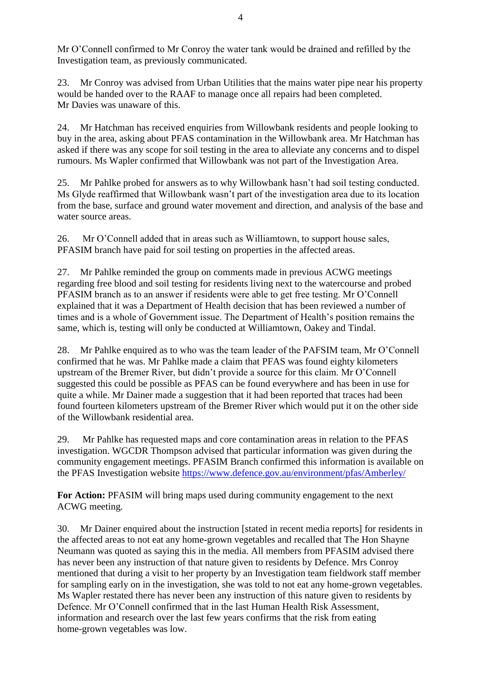Mr O'Connell confirmed to Mr Conroy the water tank would be drained and refilled by the Investigation team, as previously communicated.

23. Mr Conroy was advised from Urban Utilities that the mains water pipe near his property would be handed over to the RAAF to manage once all repairs had been completed. Mr Davies was unaware of this.

24. Mr Hatchman has received enquiries from Willowbank residents and people looking to buy in the area, asking about PFAS contamination in the Willowbank area. Mr Hatchman has asked if there was any scope for soil testing in the area to alleviate any concerns and to dispel rumours. Ms Wapler confirmed that Willowbank was not part of the Investigation Area.

25. Mr Pahlke probed for answers as to why Willowbank hasn't had soil testing conducted. Ms Glyde reaffirmed that Willowbank wasn't part of the investigation area due to its location from the base, surface and ground water movement and direction, and analysis of the base and water source areas.

26. Mr O'Connell added that in areas such as Williamtown, to support house sales, PFASIM branch have paid for soil testing on properties in the affected areas.

27. Mr Pahlke reminded the group on comments made in previous ACWG meetings regarding free blood and soil testing for residents living next to the watercourse and probed PFASIM branch as to an answer if residents were able to get free testing. Mr O'Connell explained that it was a Department of Health decision that has been reviewed a number of times and is a whole of Government issue. The Department of Health's position remains the same, which is, testing will only be conducted at Williamtown, Oakey and Tindal.

28. Mr Pahlke enquired as to who was the team leader of the PAFSIM team, Mr O'Connell confirmed that he was. Mr Pahlke made a claim that PFAS was found eighty kilometers upstream of the Bremer River, but didn't provide a source for this claim. Mr O'Connell suggested this could be possible as PFAS can be found everywhere and has been in use for quite a while. Mr Dainer made a suggestion that it had been reported that traces had been found fourteen kilometers upstream of the Bremer River which would put it on the other side of the Willowbank residential area.

29. Mr Pahlke has requested maps and core contamination areas in relation to the PFAS investigation. WGCDR Thompson advised that particular information was given during the community engagement meetings. PFASIM Branch confirmed this information is available on the PFAS Investigation website<https://www.defence.gov.au/environment/pfas/Amberley/>

**For Action:** PFASIM will bring maps used during community engagement to the next ACWG meeting.

30. Mr Dainer enquired about the instruction [stated in recent media reports] for residents in the affected areas to not eat any home-grown vegetables and recalled that The Hon Shayne Neumann was quoted as saying this in the media. All members from PFASIM advised there has never been any instruction of that nature given to residents by Defence. Mrs Conroy mentioned that during a visit to her property by an Investigation team fieldwork staff member for sampling early on in the investigation, she was told to not eat any home-grown vegetables. Ms Wapler restated there has never been any instruction of this nature given to residents by Defence. Mr O'Connell confirmed that in the last Human Health Risk Assessment, information and research over the last few years confirms that the risk from eating home-grown vegetables was low.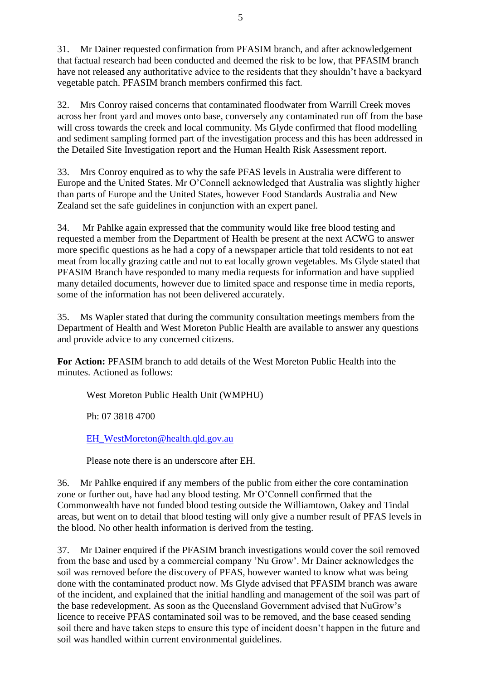31. Mr Dainer requested confirmation from PFASIM branch, and after acknowledgement that factual research had been conducted and deemed the risk to be low, that PFASIM branch have not released any authoritative advice to the residents that they shouldn't have a backyard vegetable patch. PFASIM branch members confirmed this fact.

32. Mrs Conroy raised concerns that contaminated floodwater from Warrill Creek moves across her front yard and moves onto base, conversely any contaminated run off from the base will cross towards the creek and local community. Ms Glyde confirmed that flood modelling and sediment sampling formed part of the investigation process and this has been addressed in the Detailed Site Investigation report and the Human Health Risk Assessment report.

33. Mrs Conroy enquired as to why the safe PFAS levels in Australia were different to Europe and the United States. Mr O'Connell acknowledged that Australia was slightly higher than parts of Europe and the United States, however Food Standards Australia and New Zealand set the safe guidelines in conjunction with an expert panel.

34. Mr Pahlke again expressed that the community would like free blood testing and requested a member from the Department of Health be present at the next ACWG to answer more specific questions as he had a copy of a newspaper article that told residents to not eat meat from locally grazing cattle and not to eat locally grown vegetables. Ms Glyde stated that PFASIM Branch have responded to many media requests for information and have supplied many detailed documents, however due to limited space and response time in media reports, some of the information has not been delivered accurately.

35. Ms Wapler stated that during the community consultation meetings members from the Department of Health and West Moreton Public Health are available to answer any questions and provide advice to any concerned citizens.

**For Action:** PFASIM branch to add details of the West Moreton Public Health into the minutes. Actioned as follows:

West Moreton Public Health Unit (WMPHU)

Ph: 07 3818 4700

[EH\\_WestMoreton@health.qld.gov.au](mailto:EH_WestMoreton@health.qld.gov.au)

Please note there is an underscore after EH.

36. Mr Pahlke enquired if any members of the public from either the core contamination zone or further out, have had any blood testing. Mr O'Connell confirmed that the Commonwealth have not funded blood testing outside the Williamtown, Oakey and Tindal areas, but went on to detail that blood testing will only give a number result of PFAS levels in the blood. No other health information is derived from the testing.

37. Mr Dainer enquired if the PFASIM branch investigations would cover the soil removed from the base and used by a commercial company 'Nu Grow'. Mr Dainer acknowledges the soil was removed before the discovery of PFAS, however wanted to know what was being done with the contaminated product now. Ms Glyde advised that PFASIM branch was aware of the incident, and explained that the initial handling and management of the soil was part of the base redevelopment. As soon as the Queensland Government advised that NuGrow's licence to receive PFAS contaminated soil was to be removed, and the base ceased sending soil there and have taken steps to ensure this type of incident doesn't happen in the future and soil was handled within current environmental guidelines.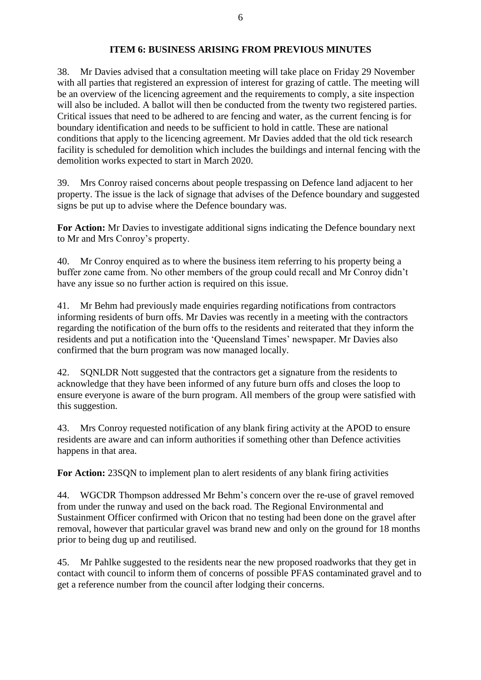## **ITEM 6: BUSINESS ARISING FROM PREVIOUS MINUTES**

38. Mr Davies advised that a consultation meeting will take place on Friday 29 November with all parties that registered an expression of interest for grazing of cattle. The meeting will be an overview of the licencing agreement and the requirements to comply, a site inspection will also be included. A ballot will then be conducted from the twenty two registered parties. Critical issues that need to be adhered to are fencing and water, as the current fencing is for boundary identification and needs to be sufficient to hold in cattle. These are national conditions that apply to the licencing agreement. Mr Davies added that the old tick research facility is scheduled for demolition which includes the buildings and internal fencing with the demolition works expected to start in March 2020.

39. Mrs Conroy raised concerns about people trespassing on Defence land adjacent to her property. The issue is the lack of signage that advises of the Defence boundary and suggested signs be put up to advise where the Defence boundary was.

**For Action:** Mr Davies to investigate additional signs indicating the Defence boundary next to Mr and Mrs Conroy's property.

40. Mr Conroy enquired as to where the business item referring to his property being a buffer zone came from. No other members of the group could recall and Mr Conroy didn't have any issue so no further action is required on this issue.

41. Mr Behm had previously made enquiries regarding notifications from contractors informing residents of burn offs. Mr Davies was recently in a meeting with the contractors regarding the notification of the burn offs to the residents and reiterated that they inform the residents and put a notification into the 'Queensland Times' newspaper. Mr Davies also confirmed that the burn program was now managed locally.

42. SQNLDR Nott suggested that the contractors get a signature from the residents to acknowledge that they have been informed of any future burn offs and closes the loop to ensure everyone is aware of the burn program. All members of the group were satisfied with this suggestion.

43. Mrs Conroy requested notification of any blank firing activity at the APOD to ensure residents are aware and can inform authorities if something other than Defence activities happens in that area.

**For Action:** 23SON to implement plan to alert residents of any blank firing activities

44. WGCDR Thompson addressed Mr Behm's concern over the re-use of gravel removed from under the runway and used on the back road. The Regional Environmental and Sustainment Officer confirmed with Oricon that no testing had been done on the gravel after removal, however that particular gravel was brand new and only on the ground for 18 months prior to being dug up and reutilised.

45. Mr Pahlke suggested to the residents near the new proposed roadworks that they get in contact with council to inform them of concerns of possible PFAS contaminated gravel and to get a reference number from the council after lodging their concerns.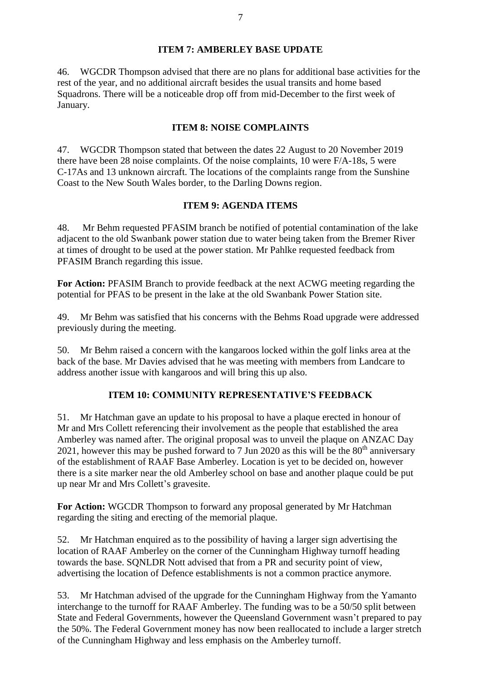# **ITEM 7: AMBERLEY BASE UPDATE**

46. WGCDR Thompson advised that there are no plans for additional base activities for the rest of the year, and no additional aircraft besides the usual transits and home based Squadrons. There will be a noticeable drop off from mid-December to the first week of January.

## **ITEM 8: NOISE COMPLAINTS**

47. WGCDR Thompson stated that between the dates 22 August to 20 November 2019 there have been 28 noise complaints. Of the noise complaints, 10 were F/A-18s, 5 were C-17As and 13 unknown aircraft. The locations of the complaints range from the Sunshine Coast to the New South Wales border, to the Darling Downs region.

## **ITEM 9: AGENDA ITEMS**

48. Mr Behm requested PFASIM branch be notified of potential contamination of the lake adjacent to the old Swanbank power station due to water being taken from the Bremer River at times of drought to be used at the power station. Mr Pahlke requested feedback from PFASIM Branch regarding this issue.

**For Action:** PFASIM Branch to provide feedback at the next ACWG meeting regarding the potential for PFAS to be present in the lake at the old Swanbank Power Station site.

49. Mr Behm was satisfied that his concerns with the Behms Road upgrade were addressed previously during the meeting.

50. Mr Behm raised a concern with the kangaroos locked within the golf links area at the back of the base. Mr Davies advised that he was meeting with members from Landcare to address another issue with kangaroos and will bring this up also.

# **ITEM 10: COMMUNITY REPRESENTATIVE'S FEEDBACK**

51. Mr Hatchman gave an update to his proposal to have a plaque erected in honour of Mr and Mrs Collett referencing their involvement as the people that established the area Amberley was named after. The original proposal was to unveil the plaque on ANZAC Day 2021, however this may be pushed forward to 7 Jun 2020 as this will be the  $80<sup>th</sup>$  anniversary of the establishment of RAAF Base Amberley. Location is yet to be decided on, however there is a site marker near the old Amberley school on base and another plaque could be put up near Mr and Mrs Collett's gravesite.

**For Action:** WGCDR Thompson to forward any proposal generated by Mr Hatchman regarding the siting and erecting of the memorial plaque.

52. Mr Hatchman enquired as to the possibility of having a larger sign advertising the location of RAAF Amberley on the corner of the Cunningham Highway turnoff heading towards the base. SQNLDR Nott advised that from a PR and security point of view, advertising the location of Defence establishments is not a common practice anymore.

53. Mr Hatchman advised of the upgrade for the Cunningham Highway from the Yamanto interchange to the turnoff for RAAF Amberley. The funding was to be a 50/50 split between State and Federal Governments, however the Queensland Government wasn't prepared to pay the 50%. The Federal Government money has now been reallocated to include a larger stretch of the Cunningham Highway and less emphasis on the Amberley turnoff.